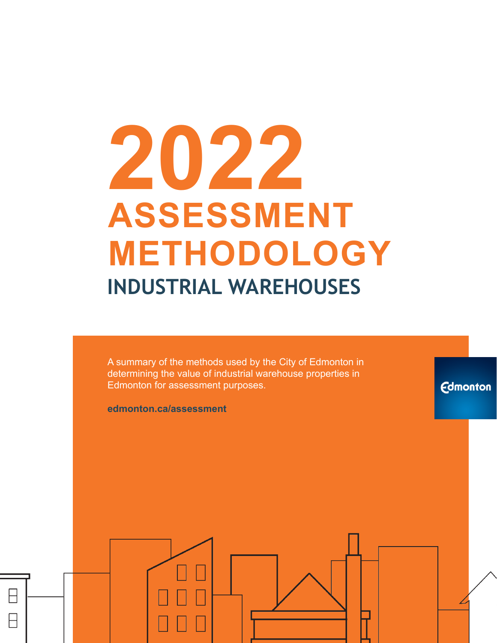# **2022 ASSESSMENT METHODOLOGY INDUSTRIAL WAREHOUSES**

A summary of the methods used by the City of Edmonton in determining the value of industrial warehouse properties in Edmonton for assessment purposes.

**Edmonton** 

**edmonton.ca/assessment**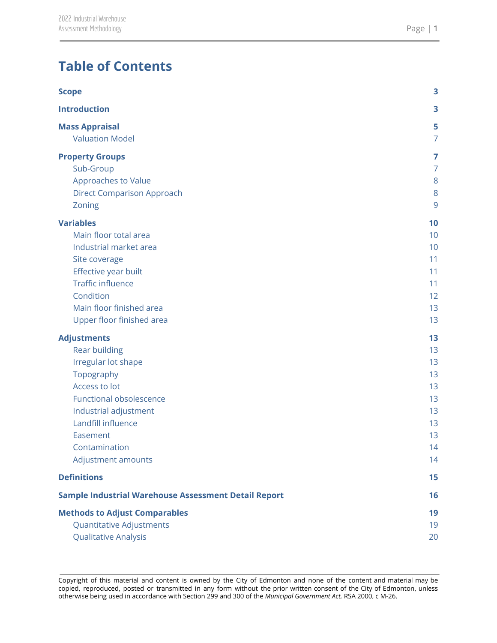# **Table of Contents**

| <b>Scope</b>                                                | 3  |
|-------------------------------------------------------------|----|
| <b>Introduction</b>                                         | 3  |
| <b>Mass Appraisal</b>                                       | 5  |
| <b>Valuation Model</b>                                      | 7  |
| <b>Property Groups</b>                                      | 7  |
| Sub-Group                                                   | 7  |
| Approaches to Value                                         | 8  |
| <b>Direct Comparison Approach</b>                           | 8  |
| Zoning                                                      | 9  |
| <b>Variables</b>                                            | 10 |
| Main floor total area                                       | 10 |
| Industrial market area                                      | 10 |
| Site coverage                                               | 11 |
| Effective year built                                        | 11 |
| <b>Traffic influence</b>                                    | 11 |
| Condition                                                   | 12 |
| Main floor finished area                                    | 13 |
| Upper floor finished area                                   | 13 |
| <b>Adjustments</b>                                          | 13 |
| <b>Rear building</b>                                        | 13 |
| Irregular lot shape                                         | 13 |
| Topography                                                  | 13 |
| Access to lot                                               | 13 |
| <b>Functional obsolescence</b>                              | 13 |
| Industrial adjustment                                       | 13 |
| Landfill influence                                          | 13 |
| Easement                                                    | 13 |
| Contamination                                               | 14 |
| Adjustment amounts                                          | 14 |
| <b>Definitions</b>                                          | 15 |
| <b>Sample Industrial Warehouse Assessment Detail Report</b> | 16 |
| <b>Methods to Adjust Comparables</b>                        | 19 |
| Quantitative Adjustments                                    | 19 |
| <b>Qualitative Analysis</b>                                 | 20 |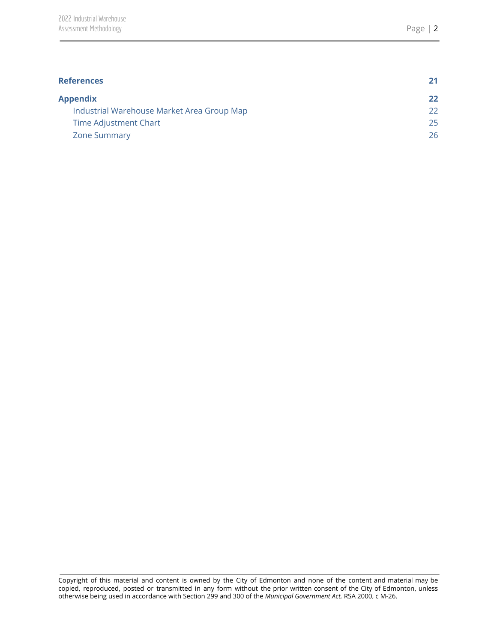| <b>References</b>                          |    |
|--------------------------------------------|----|
| <b>Appendix</b>                            | 22 |
| Industrial Warehouse Market Area Group Map | 22 |
| Time Adjustment Chart                      | 25 |
| <b>Zone Summary</b>                        | 26 |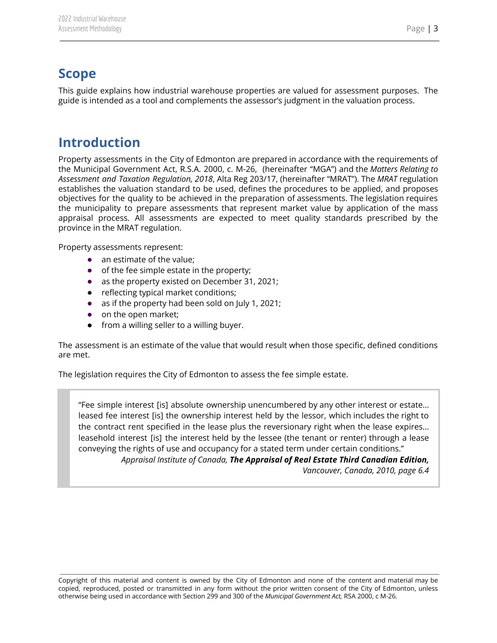# <span id="page-3-0"></span>**Scope**

This guide explains how industrial warehouse properties are valued for assessment purposes. The guide is intended as a tool and complements the assessor's judgment in the valuation process.

## <span id="page-3-1"></span>**Introduction**

Property assessments in the City of Edmonton are prepared in accordance with the requirements of the Municipal Government Act, R.S.A. 2000, c. M-26, (hereinafter "MGA") and the *Matters Relating to Assessment and Taxation Regulation, 2018*, Alta Reg 203/17, (hereinafter "MRAT"). The *MRAT* regulation establishes the valuation standard to be used, defines the procedures to be applied, and proposes objectives for the quality to be achieved in the preparation of assessments. The legislation requires the municipality to prepare assessments that represent market value by application of the mass appraisal process. All assessments are expected to meet quality standards prescribed by the province in the MRAT regulation.

Property assessments represent:

- an estimate of the value;
- of the fee simple estate in the property;
- as the property existed on December 31, 2021;
- reflecting typical market conditions;
- as if the property had been sold on July 1, 2021;
- on the open market;
- from a willing seller to a willing buyer.

The assessment is an estimate of the value that would result when those specific, defined conditions are met.

The legislation requires the City of Edmonton to assess the fee simple estate.

"Fee simple interest [is] absolute ownership unencumbered by any other interest or estate… leased fee interest [is] the ownership interest held by the lessor, which includes the right to the contract rent specified in the lease plus the reversionary right when the lease expires… leasehold interest [is] the interest held by the lessee (the tenant or renter) through a lease conveying the rights of use and occupancy for a stated term under certain conditions." *Appraisal Institute of Canada, The Appraisal of Real Estate Third Canadian Edition,*

*Vancouver, Canada, 2010, page 6.4*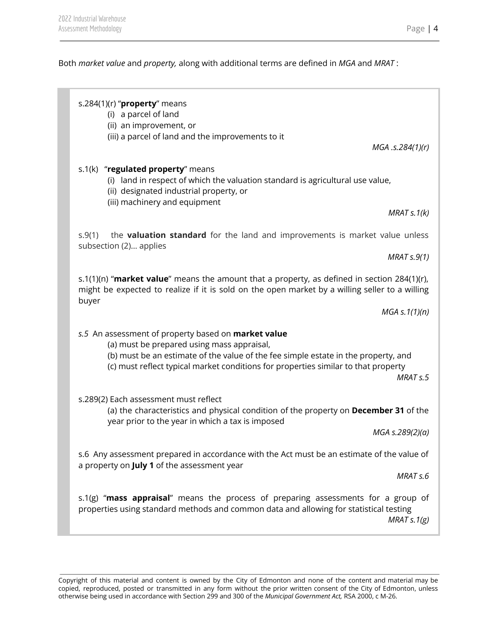Both *market value* and *property,* along with additional terms are defined in *MGA* and *MRAT* :

s.284(1)(r) "**property**" means (i) a parcel of land (ii) an improvement, or (iii) a parcel of land and the improvements to it *MGA .s.284(1)(r)* s.1(k) "**regulated property**" means (i) land in respect of which the valuation standard is agricultural use value, (ii) designated industrial property, or (iii) machinery and equipment *MRAT s.1(k)* s.9(1) the **valuation standard** for the land and improvements is market value unless subsection (2)… applies *MRAT s.9(1)* s.1(1)(n) "**market value**" means the amount that a property, as defined in section 284(1)(r), might be expected to realize if it is sold on the open market by a willing seller to a willing buyer *MGA s.1(1)(n) s.5* An assessment of property based on **market value** (a) must be prepared using mass appraisal, (b) must be an estimate of the value of the fee simple estate in the property, and (c) must reflect typical market conditions for properties similar to that property *MRAT s.5* s.289(2) Each assessment must reflect (a) the characteristics and physical condition of the property on **December 31** of the year prior to the year in which a tax is imposed *MGA s.289(2)(a)* s.6 Any assessment prepared in accordance with the Act must be an estimate of the value of a property on **July 1** of the assessment year *MRAT s.6* s.1(g) "**mass appraisal**" means the process of preparing assessments for a group of properties using standard methods and common data and allowing for statistical testing *MRAT s.1(g)*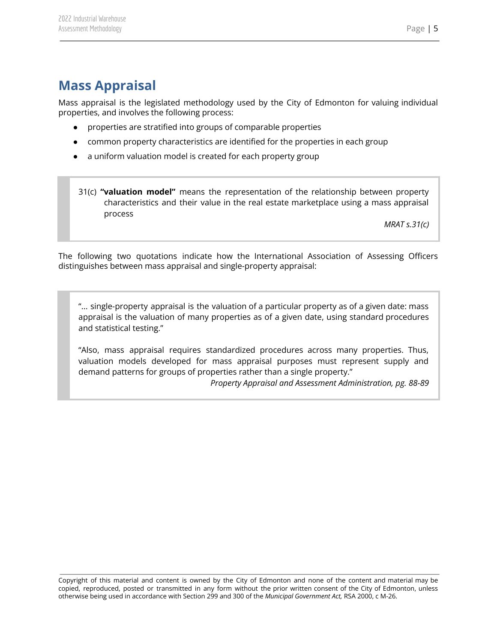# <span id="page-5-0"></span>**Mass Appraisal**

Mass appraisal is the legislated methodology used by the City of Edmonton for valuing individual properties, and involves the following process:

- properties are stratified into groups of comparable properties
- common property characteristics are identified for the properties in each group
- a uniform valuation model is created for each property group
- 31(c) **"valuation model"** means the representation of the relationship between property characteristics and their value in the real estate marketplace using a mass appraisal process

*MRAT s.31(c)*

The following two quotations indicate how the International Association of Assessing Officers distinguishes between mass appraisal and single-property appraisal:

"... single-property appraisal is the valuation of a particular property as of a given date: mass appraisal is the valuation of many properties as of a given date, using standard procedures and statistical testing."

"Also, mass appraisal requires standardized procedures across many properties. Thus, valuation models developed for mass appraisal purposes must represent supply and demand patterns for groups of properties rather than a single property."

*Property Appraisal and Assessment Administration, pg. 88-89*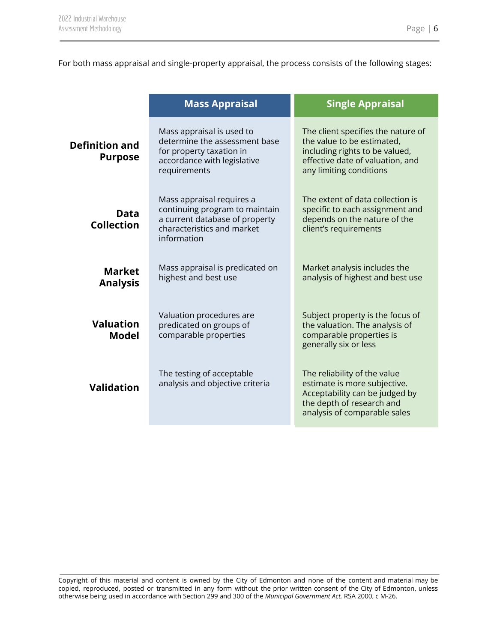For both mass appraisal and single-property appraisal, the process consists of the following stages:

| <b>Single Appraisal</b>                                                                                                                                                                            |
|----------------------------------------------------------------------------------------------------------------------------------------------------------------------------------------------------|
| The client specifies the nature of<br>determine the assessment base<br>the value to be estimated,<br>including rights to be valued,<br>effective date of valuation, and<br>any limiting conditions |
| The extent of data collection is<br>continuing program to maintain<br>specific to each assignment and<br>a current database of property<br>depends on the nature of the<br>client's requirements   |
| Mass appraisal is predicated on<br>Market analysis includes the<br>analysis of highest and best use                                                                                                |
| Subject property is the focus of<br>the valuation. The analysis of<br>comparable properties is<br>generally six or less                                                                            |
| The reliability of the value<br>estimate is more subjective.<br>Acceptability can be judged by<br>the depth of research and<br>analysis of comparable sales                                        |
|                                                                                                                                                                                                    |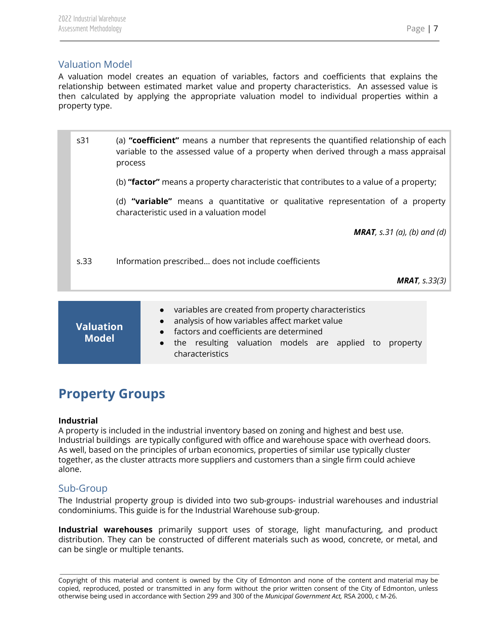## <span id="page-7-0"></span>Valuation Model

A valuation model creates an equation of variables, factors and coefficients that explains the relationship between estimated market value and property characteristics. An assessed value is then calculated by applying the appropriate valuation model to individual properties within a property type.

| s31  | (a) "coefficient" means a number that represents the quantified relationship of each<br>variable to the assessed value of a property when derived through a mass appraisal<br>process |  |
|------|---------------------------------------------------------------------------------------------------------------------------------------------------------------------------------------|--|
|      | (b) "factor" means a property characteristic that contributes to a value of a property;                                                                                               |  |
|      | (d) "variable" means a quantitative or qualitative representation of a property<br>characteristic used in a valuation model                                                           |  |
|      | <b>MRAT</b> , s.31 (a), (b) and (d)                                                                                                                                                   |  |
| s.33 | Information prescribed does not include coefficients                                                                                                                                  |  |
|      | <b>MRAT</b> , $s.33(3)$                                                                                                                                                               |  |
|      |                                                                                                                                                                                       |  |
|      |                                                                                                                                                                                       |  |

| <b>Valuation</b> | • variables are created from property characteristics<br>• analysis of how variables affect market value<br>• factors and coefficients are determined |
|------------------|-------------------------------------------------------------------------------------------------------------------------------------------------------|
| <b>Model</b>     | • the resulting valuation models are applied to property<br>characteristics                                                                           |

# <span id="page-7-1"></span>**Property Groups**

#### **Industrial**

A property is included in the industrial inventory based on zoning and highest and best use. Industrial buildings are typically configured with office and warehouse space with overhead doors. As well, based on the principles of urban economics, properties of similar use typically cluster together, as the cluster attracts more suppliers and customers than a single firm could achieve alone.

## <span id="page-7-2"></span>Sub-Group

The Industrial property group is divided into two sub-groups- industrial warehouses and industrial condominiums. This guide is for the Industrial Warehouse sub-group.

**Industrial warehouses** primarily support uses of storage, light manufacturing, and product distribution. They can be constructed of different materials such as wood, concrete, or metal, and can be single or multiple tenants.

Copyright of this material and content is owned by the City of Edmonton and none of the content and material may be copied, reproduced, posted or transmitted in any form without the prior written consent of the City of Edmonton, unless otherwise being used in accordance with Section 299 and 300 of the *Municipal Government Act,* RSA 2000, c M-26.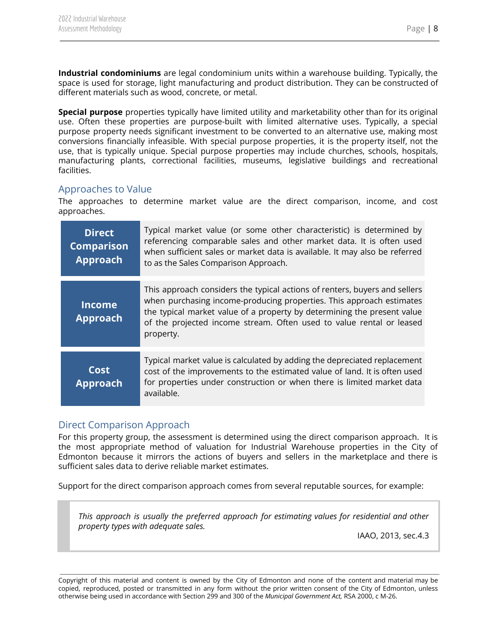**Industrial condominiums** are legal condominium units within a warehouse building. Typically, the space is used for storage, light manufacturing and product distribution. They can be constructed of different materials such as wood, concrete, or metal.

**Special purpose** properties typically have limited utility and marketability other than for its original use. Often these properties are purpose-built with limited alternative uses. Typically, a special purpose property needs significant investment to be converted to an alternative use, making most conversions financially infeasible. With special purpose properties, it is the property itself, not the use, that is typically unique. Special purpose properties may include churches, schools, hospitals, manufacturing plants, correctional facilities, museums, legislative buildings and recreational facilities.

#### <span id="page-8-0"></span>Approaches to Value

The approaches to determine market value are the direct comparison, income, and cost approaches.

| <b>Direct</b><br><b>Comparison</b><br>Approach | Typical market value (or some other characteristic) is determined by<br>referencing comparable sales and other market data. It is often used<br>when sufficient sales or market data is available. It may also be referred<br>to as the Sales Comparison Approach.                                                 |
|------------------------------------------------|--------------------------------------------------------------------------------------------------------------------------------------------------------------------------------------------------------------------------------------------------------------------------------------------------------------------|
| <b>Income</b><br><b>Approach</b>               | This approach considers the typical actions of renters, buyers and sellers<br>when purchasing income-producing properties. This approach estimates<br>the typical market value of a property by determining the present value<br>of the projected income stream. Often used to value rental or leased<br>property. |
| Cost<br><b>Approach</b>                        | Typical market value is calculated by adding the depreciated replacement<br>cost of the improvements to the estimated value of land. It is often used<br>for properties under construction or when there is limited market data<br>available.                                                                      |

#### <span id="page-8-1"></span>Direct Comparison Approach

For this property group, the assessment is determined using the direct comparison approach. It is the most appropriate method of valuation for Industrial Warehouse properties in the City of Edmonton because it mirrors the actions of buyers and sellers in the marketplace and there is sufficient sales data to derive reliable market estimates.

Support for the direct comparison approach comes from several reputable sources, for example:

*This approach is usually the preferred approach for estimating values for residential and other property types with adequate sales.*

IAAO, 2013, sec.4.3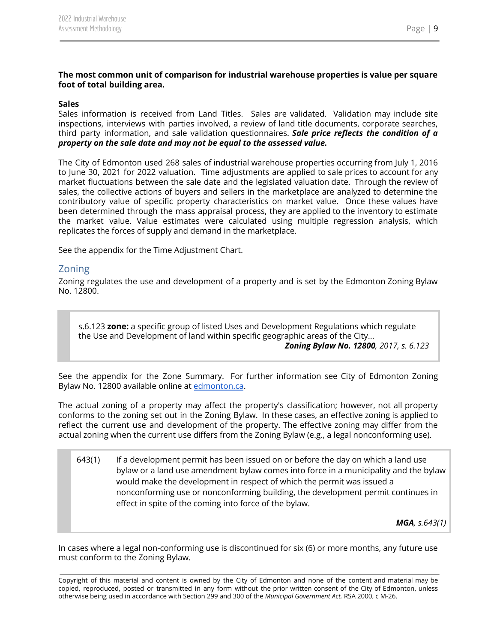#### **The most common unit of comparison for industrial warehouse properties is value per square foot of total building area.**

#### **Sales**

Sales information is received from Land Titles. Sales are validated. Validation may include site inspections, interviews with parties involved, a review of land title documents, corporate searches, third party information, and sale validation questionnaires. *Sale price reflects the condition of a property on the sale date and may not be equal to the assessed value.*

The City of Edmonton used 268 sales of industrial warehouse properties occurring from July 1, 2016 to June 30, 2021 for 2022 valuation. Time adjustments are applied to sale prices to account for any market fluctuations between the sale date and the legislated valuation date. Through the review of sales, the collective actions of buyers and sellers in the marketplace are analyzed to determine the contributory value of specific property characteristics on market value. Once these values have been determined through the mass appraisal process, they are applied to the inventory to estimate the market value. Value estimates were calculated using multiple regression analysis, which replicates the forces of supply and demand in the marketplace.

<span id="page-9-0"></span>See the appendix for the Time Adjustment Chart.

#### Zoning

Zoning regulates the use and development of a property and is set by the Edmonton Zoning Bylaw No. 12800.

s.6.123 **zone:** a specific group of listed Uses and Development Regulations which regulate the Use and Development of land within specific geographic areas of the City...

*Zoning Bylaw No. 12800, 2017, s. 6.123*

See the appendix for the Zone Summary. For further information see City of Edmonton Zoning Bylaw No. 12800 available online at [edmonton.ca](https://www.edmonton.ca/city_government/bylaws/zoning-bylaw.aspx).

The actual zoning of a property may affect the property's classification; however, not all property conforms to the zoning set out in the Zoning Bylaw. In these cases, an effective zoning is applied to reflect the current use and development of the property. The effective zoning may differ from the actual zoning when the current use differs from the Zoning Bylaw (e.g., a legal nonconforming use).

643(1) If a development permit has been issued on or before the day on which a land use bylaw or a land use amendment bylaw comes into force in a municipality and the bylaw would make the development in respect of which the permit was issued a nonconforming use or nonconforming building, the development permit continues in effect in spite of the coming into force of the bylaw.

*MGA, s.643(1)*

In cases where a legal non-conforming use is discontinued for six (6) or more months, any future use must conform to the Zoning Bylaw.

Copyright of this material and content is owned by the City of Edmonton and none of the content and material may be copied, reproduced, posted or transmitted in any form without the prior written consent of the City of Edmonton, unless otherwise being used in accordance with Section 299 and 300 of the *Municipal Government Act,* RSA 2000, c M-26.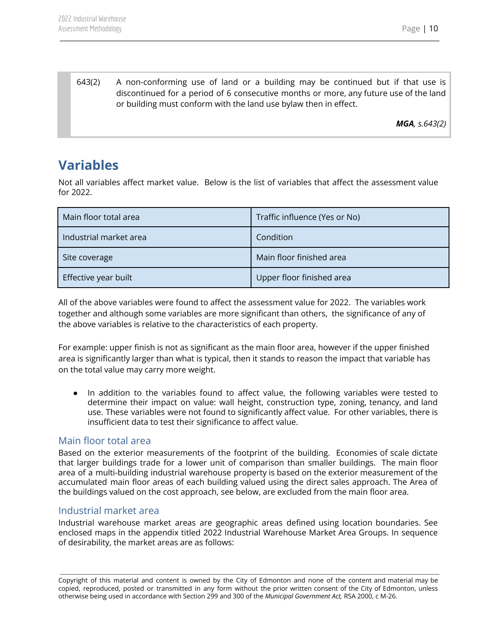643(2) A non-conforming use of land or a building may be continued but if that use is discontinued for a period of 6 consecutive months or more, any future use of the land or building must conform with the land use bylaw then in effect.

*MGA, s.643(2)*

# <span id="page-10-0"></span>**Variables**

Not all variables affect market value. Below is the list of variables that affect the assessment value for 2022.

| Main floor total area  | Traffic influence (Yes or No) |
|------------------------|-------------------------------|
| Industrial market area | Condition                     |
| Site coverage          | Main floor finished area      |
| Effective year built   | Upper floor finished area     |

All of the above variables were found to affect the assessment value for 2022. The variables work together and although some variables are more significant than others, the significance of any of the above variables is relative to the characteristics of each property.

For example: upper finish is not as significant as the main floor area, however if the upper finished area is significantly larger than what is typical, then it stands to reason the impact that variable has on the total value may carry more weight.

In addition to the variables found to affect value, the following variables were tested to determine their impact on value: wall height, construction type, zoning, tenancy, and land use. These variables were not found to significantly affect value. For other variables, there is insufficient data to test their significance to affect value.

#### <span id="page-10-1"></span>Main floor total area

Based on the exterior measurements of the footprint of the building. Economies of scale dictate that larger buildings trade for a lower unit of comparison than smaller buildings. The main floor area of a multi-building industrial warehouse property is based on the exterior measurement of the accumulated main floor areas of each building valued using the direct sales approach. The Area of the buildings valued on the cost approach, see below, are excluded from the main floor area.

#### <span id="page-10-2"></span>Industrial market area

Industrial warehouse market areas are geographic areas defined using location boundaries. See enclosed maps in the appendix titled 2022 Industrial Warehouse Market Area Groups. In sequence of desirability, the market areas are as follows:

Copyright of this material and content is owned by the City of Edmonton and none of the content and material may be copied, reproduced, posted or transmitted in any form without the prior written consent of the City of Edmonton, unless otherwise being used in accordance with Section 299 and 300 of the *Municipal Government Act,* RSA 2000, c M-26.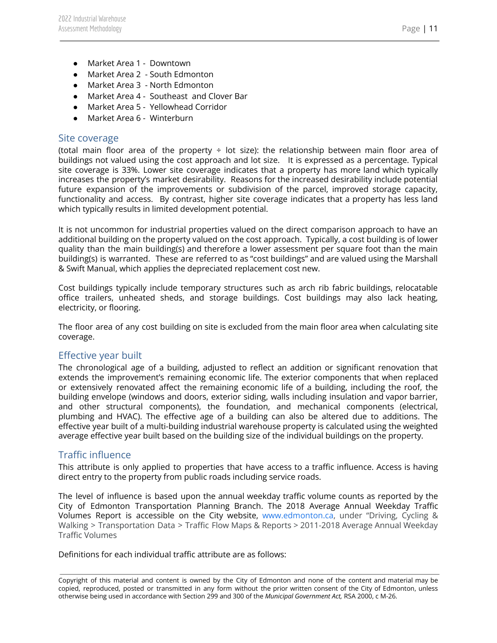- Market Area 1 Downtown
- Market Area 2 South Edmonton
- Market Area 3 North Edmonton
- Market Area 4 Southeast and Clover Bar
- Market Area 5 Yellowhead Corridor
- Market Area 6 Winterburn

#### <span id="page-11-0"></span>Site coverage

(total main floor area of the property  $\div$  lot size): the relationship between main floor area of buildings not valued using the cost approach and lot size. It is expressed as a percentage. Typical site coverage is 33%. Lower site coverage indicates that a property has more land which typically increases the property's market desirability. Reasons for the increased desirability include potential future expansion of the improvements or subdivision of the parcel, improved storage capacity, functionality and access. By contrast, higher site coverage indicates that a property has less land which typically results in limited development potential.

It is not uncommon for industrial properties valued on the direct comparison approach to have an additional building on the property valued on the cost approach. Typically, a cost building is of lower quality than the main building(s) and therefore a lower assessment per square foot than the main building(s) is warranted. These are referred to as "cost buildings" and are valued using the Marshall & Swift Manual, which applies the depreciated replacement cost new.

Cost buildings typically include temporary structures such as arch rib fabric buildings, relocatable office trailers, unheated sheds, and storage buildings. Cost buildings may also lack heating, electricity, or flooring.

The floor area of any cost building on site is excluded from the main floor area when calculating site coverage.

#### <span id="page-11-1"></span>Effective year built

The chronological age of a building, adjusted to reflect an addition or significant renovation that extends the improvement's remaining economic life. The exterior components that when replaced or extensively renovated affect the remaining economic life of a building, including the roof, the building envelope (windows and doors, exterior siding, walls including insulation and vapor barrier, and other structural components), the foundation, and mechanical components (electrical, plumbing and HVAC). The effective age of a building can also be altered due to additions. The effective year built of a multi-building industrial warehouse property is calculated using the weighted average effective year built based on the building size of the individual buildings on the property.

#### <span id="page-11-2"></span>Traffic influence

This attribute is only applied to properties that have access to a traffic influence. Access is having direct entry to the property from public roads including service roads.

The level of influence is based upon the annual weekday traffic volume counts as reported by the City of Edmonton Transportation Planning Branch. The 2018 Average Annual Weekday Traffic Volumes Report is accessible on the City website, [www.edmonton.ca,](http://www.edmonton.ca) under "Driving, Cycling & Walking > Transportation Data > Traffic Flow Maps & Reports > 2011-2018 Average Annual Weekday Traffic Volumes

Definitions for each individual traffic attribute are as follows:

Copyright of this material and content is owned by the City of Edmonton and none of the content and material may be copied, reproduced, posted or transmitted in any form without the prior written consent of the City of Edmonton, unless otherwise being used in accordance with Section 299 and 300 of the *Municipal Government Act,* RSA 2000, c M-26.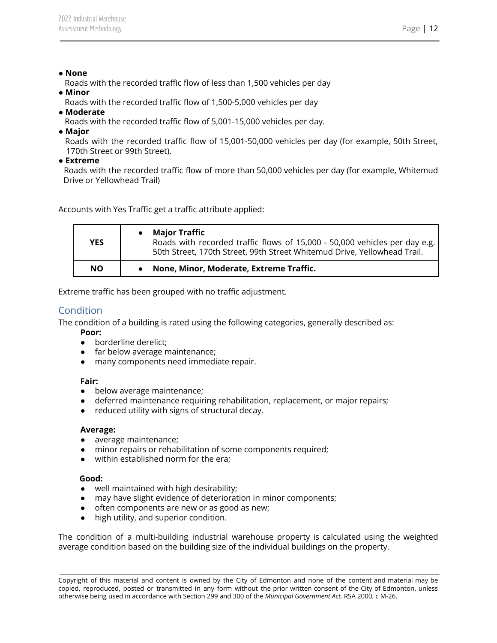#### ● **None**

Roads with the recorded traffic flow of less than 1,500 vehicles per day

- **Minor**
	- Roads with the recorded traffic flow of 1,500-5,000 vehicles per day
- **Moderate**
	- Roads with the recorded traffic flow of 5,001-15,000 vehicles per day.
- **Major**

Roads with the recorded traffic flow of 15,001-50,000 vehicles per day (for example, 50th Street, 170th Street or 99th Street).

● **Extreme**

Roads with the recorded traffic flow of more than 50,000 vehicles per day (for example, Whitemud Drive or Yellowhead Trail)

Accounts with Yes Traffic get a traffic attribute applied:

| YES       | <b>Major Traffic</b><br>Roads with recorded traffic flows of 15,000 - 50,000 vehicles per day e.g.<br>50th Street, 170th Street, 99th Street Whitemud Drive, Yellowhead Trail. |
|-----------|--------------------------------------------------------------------------------------------------------------------------------------------------------------------------------|
| <b>NO</b> | None, Minor, Moderate, Extreme Traffic.                                                                                                                                        |

<span id="page-12-0"></span>Extreme traffic has been grouped with no traffic adjustment.

## Condition

The condition of a building is rated using the following categories, generally described as:

- **Poor:**
- borderline derelict;
- far below average maintenance;
- many components need immediate repair.

#### **Fair:**

- below average maintenance;
- deferred maintenance requiring rehabilitation, replacement, or major repairs;
- reduced utility with signs of structural decay.

#### **Average:**

- average maintenance;
- minor repairs or rehabilitation of some components required;
- within established norm for the era;

#### **Good:**

- well maintained with high desirability;
- may have slight evidence of deterioration in minor components;
- often components are new or as good as new;
- high utility, and superior condition.

The condition of a multi-building industrial warehouse property is calculated using the weighted average condition based on the building size of the individual buildings on the property.

Copyright of this material and content is owned by the City of Edmonton and none of the content and material may be copied, reproduced, posted or transmitted in any form without the prior written consent of the City of Edmonton, unless otherwise being used in accordance with Section 299 and 300 of the *Municipal Government Act,* RSA 2000, c M-26.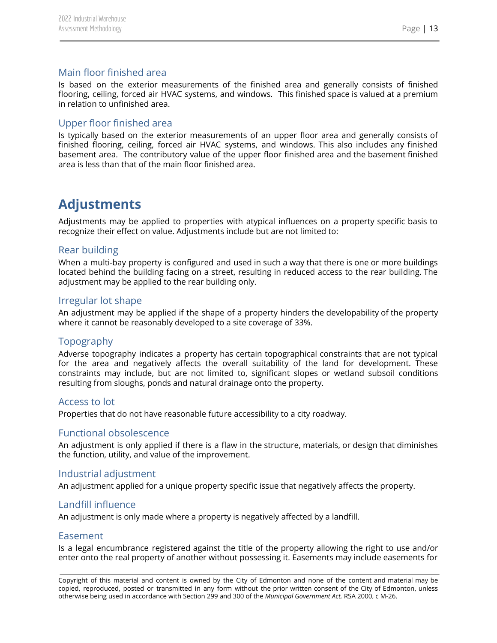## <span id="page-13-0"></span>Main floor finished area

Is based on the exterior measurements of the finished area and generally consists of finished flooring, ceiling, forced air HVAC systems, and windows. This finished space is valued at a premium in relation to unfinished area.

## <span id="page-13-1"></span>Upper floor finished area

Is typically based on the exterior measurements of an upper floor area and generally consists of finished flooring, ceiling, forced air HVAC systems, and windows. This also includes any finished basement area. The contributory value of the upper floor finished area and the basement finished area is less than that of the main floor finished area.

# <span id="page-13-2"></span>**Adjustments**

Adjustments may be applied to properties with atypical influences on a property specific basis to recognize their effect on value. Adjustments include but are not limited to:

#### <span id="page-13-3"></span>Rear building

When a multi-bay property is configured and used in such a way that there is one or more buildings located behind the building facing on a street, resulting in reduced access to the rear building. The adjustment may be applied to the rear building only.

#### <span id="page-13-4"></span>Irregular lot shape

An adjustment may be applied if the shape of a property hinders the developability of the property where it cannot be reasonably developed to a site coverage of 33%.

#### <span id="page-13-5"></span>Topography

Adverse topography indicates a property has certain topographical constraints that are not typical for the area and negatively affects the overall suitability of the land for development. These constraints may include, but are not limited to, significant slopes or wetland subsoil conditions resulting from sloughs, ponds and natural drainage onto the property.

#### <span id="page-13-6"></span>Access to lot

<span id="page-13-7"></span>Properties that do not have reasonable future accessibility to a city roadway.

#### Functional obsolescence

An adjustment is only applied if there is a flaw in the structure, materials, or design that diminishes the function, utility, and value of the improvement.

#### <span id="page-13-8"></span>Industrial adjustment

An adjustment applied for a unique property specific issue that negatively affects the property.

#### <span id="page-13-9"></span>Landfill influence

<span id="page-13-10"></span>An adjustment is only made where a property is negatively affected by a landfill.

#### Easement

Is a legal encumbrance registered against the title of the property allowing the right to use and/or enter onto the real property of another without possessing it. Easements may include easements for

Copyright of this material and content is owned by the City of Edmonton and none of the content and material may be copied, reproduced, posted or transmitted in any form without the prior written consent of the City of Edmonton, unless otherwise being used in accordance with Section 299 and 300 of the *Municipal Government Act,* RSA 2000, c M-26.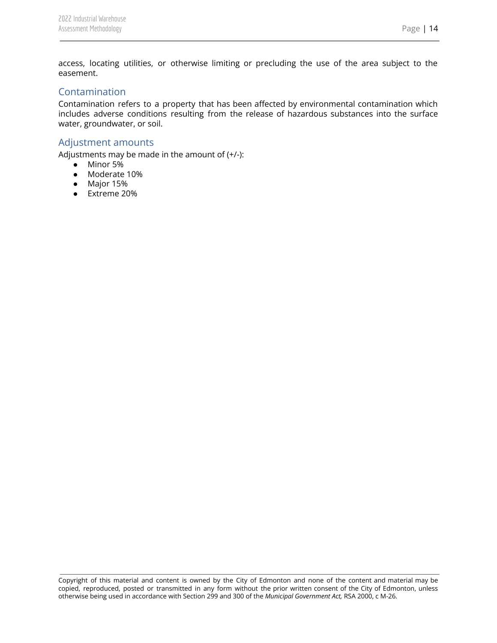access, locating utilities, or otherwise limiting or precluding the use of the area subject to the easement.

#### <span id="page-14-0"></span>Contamination

Contamination refers to a property that has been affected by environmental contamination which includes adverse conditions resulting from the release of hazardous substances into the surface water, groundwater, or soil.

#### <span id="page-14-1"></span>Adjustment amounts

Adjustments may be made in the amount of (+/-):

- Minor 5%
- Moderate 10%
- Major 15%
- Extreme 20%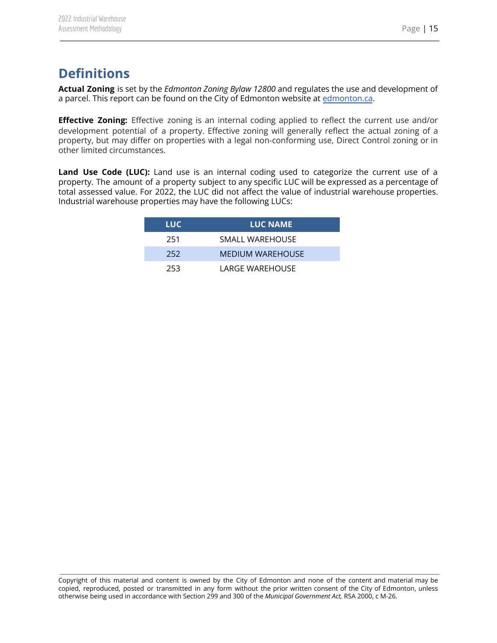# <span id="page-15-0"></span>**Definitions**

**Actual Zoning** is set by the *Edmonton Zoning Bylaw 12800* and regulates the use and development of a parcel. This report can be found on the City of Edmonton website at [edmonton.ca](https://www.edmonton.ca/city_government/bylaws/zoning-bylaw.aspx).

**Effective Zoning:** Effective zoning is an internal coding applied to reflect the current use and/or development potential of a property. Effective zoning will generally reflect the actual zoning of a property, but may differ on properties with a legal non-conforming use, Direct Control zoning or in other limited circumstances.

**Land Use Code (LUC):** Land use is an internal coding used to categorize the current use of a property. The amount of a property subject to any specific LUC will be expressed as a percentage of total assessed value. For 2022, the LUC did not affect the value of industrial warehouse properties. Industrial warehouse properties may have the following LUCs:

| LUC. | <b>LUC NAME</b>         |  |
|------|-------------------------|--|
| 251  | SMALL WARFHOUSE         |  |
| 252  | <b>MEDIUM WAREHOUSE</b> |  |
| 253  | LARGE WARFHOUSE         |  |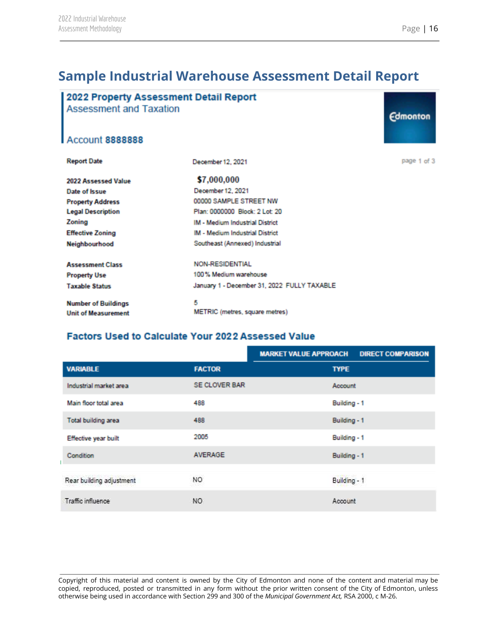# <span id="page-16-0"></span>**Sample Industrial Warehouse Assessment Detail Report**

| 2022 Property Assessment Detail Report<br><b>Assessment and Taxation</b> |                                             | <b>Edmonton</b> |
|--------------------------------------------------------------------------|---------------------------------------------|-----------------|
| <b>Account 8888888</b>                                                   |                                             |                 |
| <b>Report Date</b>                                                       | December 12, 2021                           | page 1 of 3     |
| 2022 Assessed Value                                                      | \$7,000,000                                 |                 |
| Date of Issue                                                            | December 12, 2021                           |                 |
| <b>Property Address</b>                                                  | 00000 SAMPLE STREET NW                      |                 |
| <b>Legal Description</b>                                                 | Plan: 0000000 Block: 2 Lot: 20              |                 |
| Zoning                                                                   | <b>IM - Medium Industrial District</b>      |                 |
| <b>Effective Zoning</b>                                                  | <b>IM - Medium Industrial District</b>      |                 |
| Neighbourhood                                                            | Southeast (Annexed) Industrial              |                 |
| <b>Assessment Class</b>                                                  | <b>NON-RESIDENTIAL</b>                      |                 |
| <b>Property Use</b>                                                      | 100% Medium warehouse                       |                 |
| <b>Taxable Status</b>                                                    | January 1 - December 31, 2022 FULLY TAXABLE |                 |
| <b>Number of Buildings</b><br><b>Unit of Measurement</b>                 | 5<br>METRIC (metres, square metres)         |                 |
|                                                                          |                                             |                 |

## Factors Used to Calculate Your 2022 Assessed Value

|                          | <b>MARKET VALUE APPROACH</b> | <b>DIRECT COMPARISON</b> |
|--------------------------|------------------------------|--------------------------|
| <b>VARIABLE</b>          | <b>FACTOR</b>                | <b>TYPE</b>              |
| Industrial market area   | <b>SE CLOVER BAR</b>         | Account                  |
| Main floor total area    | 488                          | Building - 1             |
| Total building area      | 488                          | Building - 1             |
| Effective year built     | 2005                         | Building - 1             |
| Condition                | <b>AVERAGE</b>               | Building - 1             |
| Rear building adjustment | NO.                          | Building - 1             |
| Traffic influence        | NO.                          | Account                  |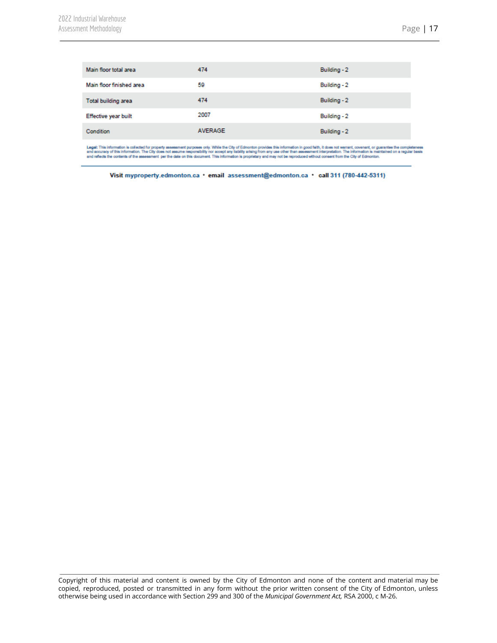| Main floor total area    | 474            | Building - 2 |
|--------------------------|----------------|--------------|
| Main floor finished area | 59             | Building - 2 |
| Total building area      | 474            | Building - 2 |
| Effective year built     | 2007           | Building - 2 |
| Condition                | <b>AVERAGE</b> | Building - 2 |

Legal: This information is collected for property assessment purposes only. While the City of Edmonton provides this information in good faith, it does not warrant, covenant, or guarantee the completeness<br>and accuracy of t

Visit myproperty.edmonton.ca · email assessment@edmonton.ca · call 311 (780-442-5311)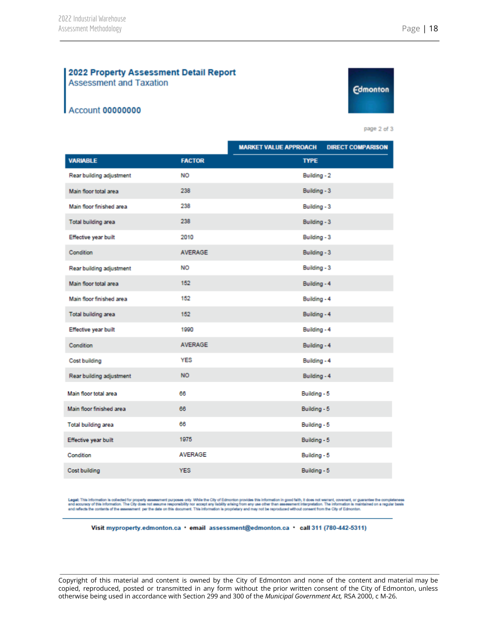#### 2022 Property Assessment Detail Report **Assessment and Taxation**

#### **Account 00000000**



page 2 of 3

|                            |                | <b>MARKET VALUE APPROACH</b> | <b>DIRECT COMPARISON</b> |
|----------------------------|----------------|------------------------------|--------------------------|
| <b>VARIABLE</b>            | <b>FACTOR</b>  | <b>TYPE</b>                  |                          |
| Rear building adjustment   | <b>NO</b>      | Building - 2                 |                          |
| Main floor total area      | 238            | Building - 3                 |                          |
| Main floor finished area   | 238            | Building - 3                 |                          |
| Total building area        | 238            | Building - 3                 |                          |
| Effective year built       | 2010           | Building - 3                 |                          |
| Condition                  | <b>AVERAGE</b> | Building - 3                 |                          |
| Rear building adjustment   | <b>NO</b>      | Building - 3                 |                          |
| Main floor total area      | 152            | Building - 4                 |                          |
| Main floor finished area   | 152            | Building - 4                 |                          |
| <b>Total building area</b> | 152            | Building - 4                 |                          |
| Effective year built       | 1990           | Building - 4                 |                          |
| Condition                  | <b>AVERAGE</b> | Building - 4                 |                          |
| Cost building              | <b>YES</b>     | Building - 4                 |                          |
| Rear building adjustment   | <b>NO</b>      | Building - 4                 |                          |
| Main floor total area      | 66             | Building - 5                 |                          |
| Main floor finished area   | 66             | Building - 5                 |                          |
| Total building area        | 66             | Building - 5                 |                          |
| Effective year built       | 1975           | Building - 5                 |                          |
| Condition                  | <b>AVERAGE</b> | Building - 5                 |                          |
| Cost building              | <b>YES</b>     | Building - 5                 |                          |

Legal: This information is collected for property assessment purposes only. While the City of Edmonton provides this information in good faith, it does not warrant, covenant, or guarantee the completeness<br>and accuracy of t

Visit myproperty.edmonton.ca · email assessment@edmonton.ca · call 311 (780-442-5311)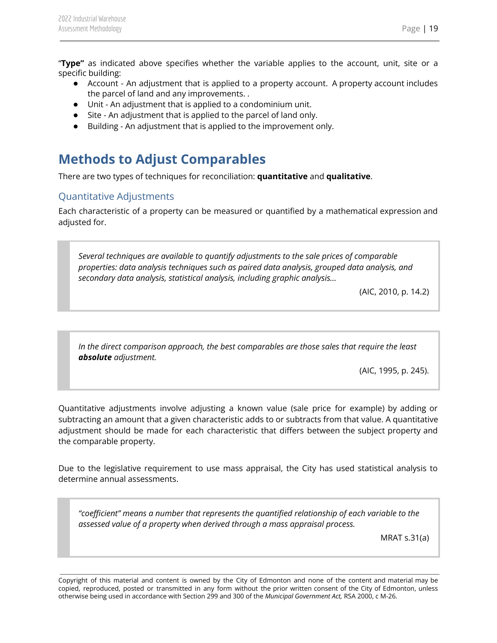"**Type"** as indicated above specifies whether the variable applies to the account, unit, site or a specific building:

- Account An adjustment that is applied to a property account. A property account includes the parcel of land and any improvements. .
- Unit An adjustment that is applied to a condominium unit.
- Site An adjustment that is applied to the parcel of land only.
- Building An adjustment that is applied to the improvement only.

# <span id="page-19-0"></span>**Methods to Adjust Comparables**

There are two types of techniques for reconciliation: **quantitative** and **qualitative**.

## <span id="page-19-1"></span>Quantitative Adjustments

Each characteristic of a property can be measured or quantified by a mathematical expression and adjusted for.

*Several techniques are available to quantify adjustments to the sale prices of comparable properties: data analysis techniques such as paired data analysis, grouped data analysis, and secondary data analysis, statistical analysis, including graphic analysis…*

(AIC, 2010, p. 14.2)

*In the direct comparison approach, the best comparables are those sales that require the least absolute adjustment.*

(AIC, 1995, p. 245).

Quantitative adjustments involve adjusting a known value (sale price for example) by adding or subtracting an amount that a given characteristic adds to or subtracts from that value. A quantitative adjustment should be made for each characteristic that differs between the subject property and the comparable property.

Due to the legislative requirement to use mass appraisal, the City has used statistical analysis to determine annual assessments.

*"coefficient" means a number that represents the quantified relationship of each variable to the assessed value of a property when derived through a mass appraisal process.*

MRAT s.31(a)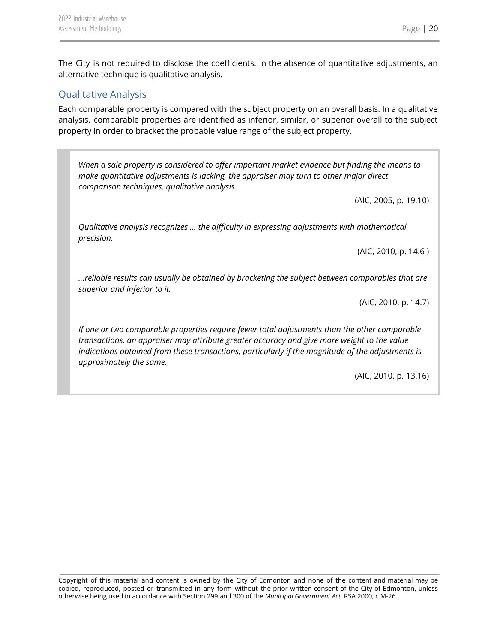The City is not required to disclose the coefficients. In the absence of quantitative adjustments, an alternative technique is qualitative analysis.

## <span id="page-20-0"></span>Qualitative Analysis

Each comparable property is compared with the subject property on an overall basis. In a qualitative analysis, comparable properties are identified as inferior, similar, or superior overall to the subject property in order to bracket the probable value range of the subject property.

*When a sale property is considered to offer important market evidence but finding the means to make quantitative adjustments is lacking, the appraiser may turn to other major direct comparison techniques, qualitative analysis.*

(AIC, 2005, p. 19.10)

*Qualitative analysis recognizes … the difficulty in expressing adjustments with mathematical precision.*

(AIC, 2010, p. 14.6 )

*…reliable results can usually be obtained by bracketing the subject between comparables that are superior and inferior to it.*

(AIC, 2010, p. 14.7)

*If one or two comparable properties require fewer total adjustments than the other comparable transactions, an appraiser may attribute greater accuracy and give more weight to the value indications obtained from these transactions, particularly if the magnitude of the adjustments is approximately the same.*

(AIC, 2010, p. 13.16)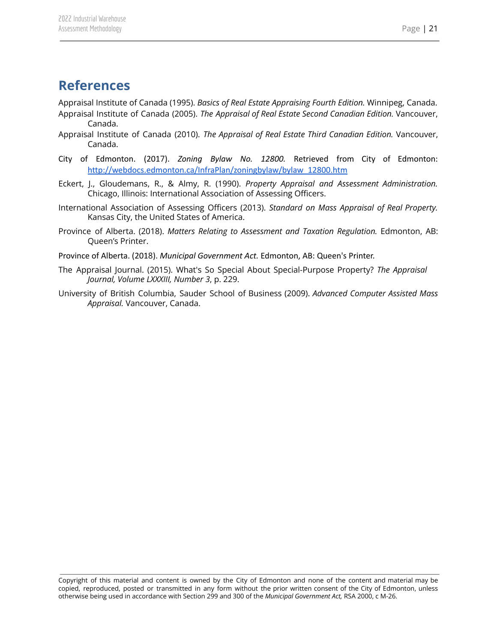## <span id="page-21-0"></span>**References**

Appraisal Institute of Canada (1995). *Basics of Real Estate Appraising Fourth Edition.* Winnipeg, Canada. Appraisal Institute of Canada (2005). *The Appraisal of Real Estate Second Canadian Edition.* Vancouver, Canada.

- Appraisal Institute of Canada (2010). *The Appraisal of Real Estate Third Canadian Edition.* Vancouver, Canada.
- City of Edmonton. (2017). *Zoning Bylaw No. 12800.* Retrieved from City of Edmonton: [http://webdocs.edmonton.ca/InfraPlan/zoningbylaw/bylaw\\_12800.htm](http://webdocs.edmonton.ca/InfraPlan/zoningbylaw/bylaw_12800.htm)
- Eckert, J., Gloudemans, R., & Almy, R. (1990). *Property Appraisal and Assessment Administration.* Chicago, Illinois: International Association of Assessing Officers.
- International Association of Assessing Officers (2013). *Standard on Mass Appraisal of Real Property.* Kansas City, the United States of America.
- Province of Alberta. (2018). *Matters Relating to Assessment and Taxation Regulation.* Edmonton, AB: Queen's Printer.
- Province of Alberta. (2018). *Municipal Government Act.* Edmonton, AB: Queen's Printer.
- The Appraisal Journal. (2015). What's So Special About Special-Purpose Property? *The Appraisal Journal, Volume LXXXIII, Number 3*, p. 229.
- University of British Columbia, Sauder School of Business (2009). *Advanced Computer Assisted Mass Appraisal.* Vancouver, Canada.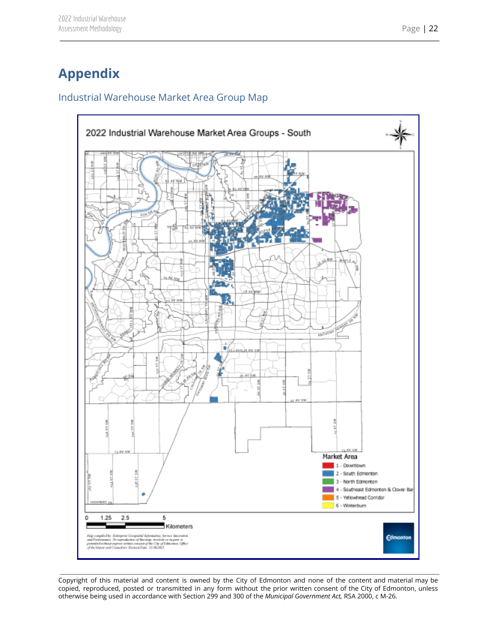# <span id="page-22-0"></span>**Appendix**

## <span id="page-22-1"></span>Industrial Warehouse Market Area Group Map

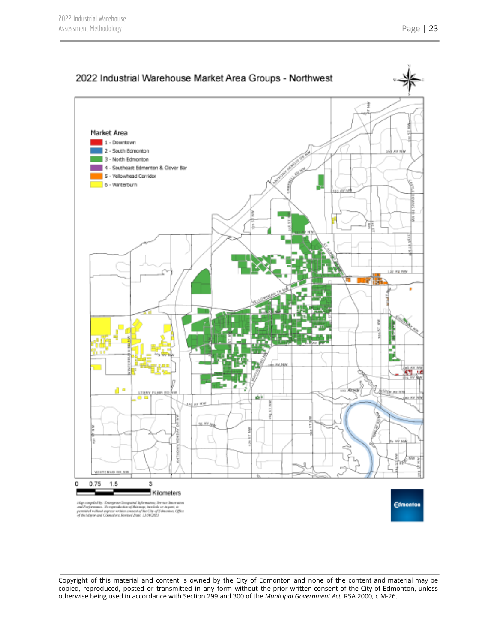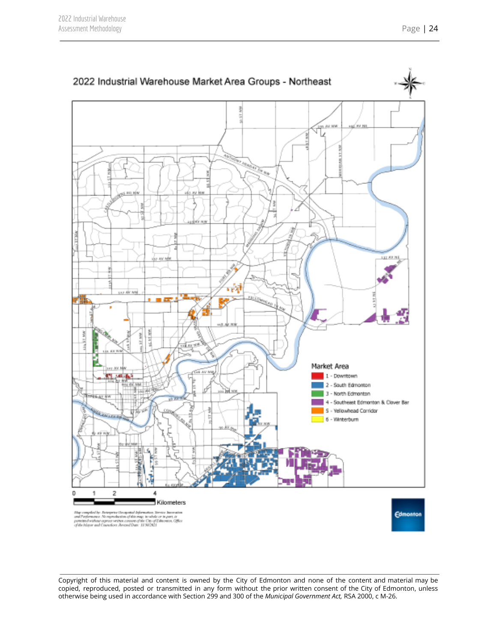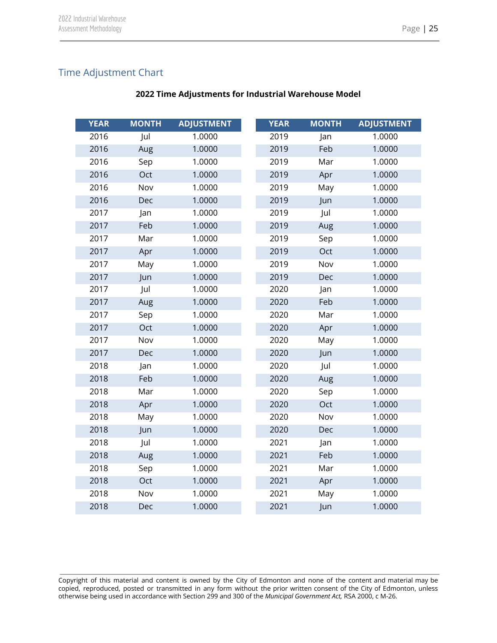## <span id="page-25-0"></span>Time Adjustment Chart

| <b>YEAR</b> | <b>MONTH</b> | <b>ADJUSTMENT</b> | <b>YEAR</b> | <b>MONTH</b> | <b>ADJUSTMENT</b> |
|-------------|--------------|-------------------|-------------|--------------|-------------------|
| 2016        | Jul          | 1.0000            | 2019        | Jan          | 1.0000            |
| 2016        | Aug          | 1.0000            | 2019        | Feb          | 1.0000            |
| 2016        | Sep          | 1.0000            | 2019        | Mar          | 1.0000            |
| 2016        | Oct          | 1.0000            | 2019        | Apr          | 1.0000            |
| 2016        | Nov          | 1.0000            | 2019        | May          | 1.0000            |
| 2016        | Dec          | 1.0000            | 2019        | Jun          | 1.0000            |
| 2017        | Jan          | 1.0000            | 2019        | Jul          | 1.0000            |
| 2017        | Feb          | 1.0000            | 2019        | Aug          | 1.0000            |
| 2017        | Mar          | 1.0000            | 2019        | Sep          | 1.0000            |
| 2017        | Apr          | 1.0000            | 2019        | Oct          | 1.0000            |
| 2017        | May          | 1.0000            | 2019        | Nov          | 1.0000            |
| 2017        | Jun          | 1.0000            | 2019        | Dec          | 1.0000            |
| 2017        | Jul          | 1.0000            | 2020        | Jan          | 1.0000            |
| 2017        | Aug          | 1.0000            | 2020        | Feb          | 1.0000            |
| 2017        | Sep          | 1.0000            | 2020        | Mar          | 1.0000            |
| 2017        | Oct          | 1.0000            | 2020        | Apr          | 1.0000            |
| 2017        | Nov          | 1.0000            | 2020        | May          | 1.0000            |
| 2017        | Dec          | 1.0000            | 2020        | Jun          | 1.0000            |
| 2018        | Jan          | 1.0000            | 2020        | Jul          | 1.0000            |
| 2018        | Feb          | 1.0000            | 2020        | Aug          | 1.0000            |
| 2018        | Mar          | 1.0000            | 2020        | Sep          | 1.0000            |
| 2018        | Apr          | 1.0000            | 2020        | Oct          | 1.0000            |
| 2018        | May          | 1.0000            | 2020        | Nov          | 1.0000            |
| 2018        | Jun          | 1.0000            | 2020        | Dec          | 1.0000            |
| 2018        | Jul          | 1.0000            | 2021        | Jan          | 1.0000            |
| 2018        | Aug          | 1.0000            | 2021        | Feb          | 1.0000            |
| 2018        | Sep          | 1.0000            | 2021        | Mar          | 1.0000            |
| 2018        | Oct          | 1.0000            | 2021        | Apr          | 1.0000            |
| 2018        | Nov          | 1.0000            | 2021        | May          | 1.0000            |
| 2018        | Dec          | 1.0000            | 2021        | Jun          | 1.0000            |

#### **Time Adjustments for Industrial Warehouse Model**